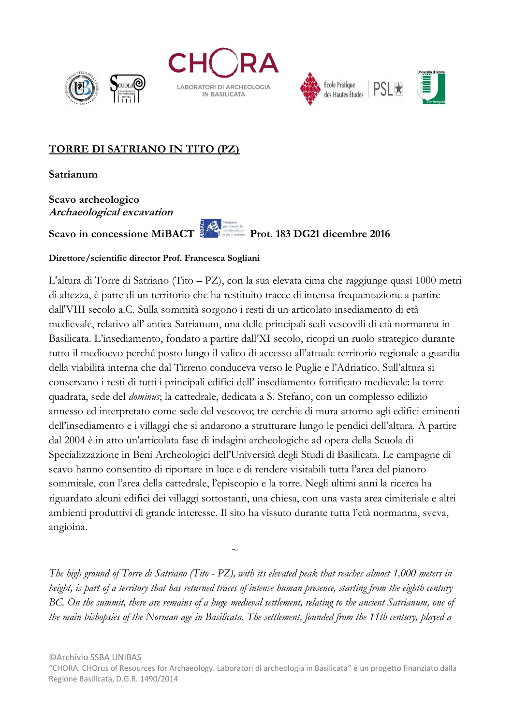







## **TORRE DI SATRIANO IN TITO (PZ)**

**Satrianum**

**Scavo archeologico Archaeological excavation**

Scavo in concessione MiBACT

## **Direttore/scientific director Prof. Francesca Sogliani**

 $\sim$ 

L'altura di Torre di Satriano (Tito – PZ), con la sua elevata cima che raggiunge quasi 1000 metri di altezza, è parte di un territorio che ha restituito tracce di intensa frequentazione a partire dall'VIII secolo a.C. Sulla sommità sorgono i resti di un articolato insediamento di età medievale, relativo all' antica Satrianum, una delle principali sedi vescovili di età normanna in Basilicata. L'insediamento, fondato a partire dall'XI secolo, ricoprì un ruolo strategico durante tutto il medioevo perché posto lungo il valico di accesso all'attuale territorio regionale a guardia della viabilità interna che dal Tirreno conduceva verso le Puglie e l'Adriatico. Sull'altura si conservano i resti di tutti i principali edifici dell' insediamento fortificato medievale: la torre quadrata, sede del *dominus*; la cattedrale, dedicata a S. Stefano, con un complesso edilizio annesso ed interpretato come sede del vescovo; tre cerchie di mura attorno agli edifici eminenti dell'insediamento e i villaggi che si andarono a strutturare lungo le pendici dell'altura. A partire dal 2004 è in atto un'articolata fase di indagini archeologiche ad opera della Scuola di Specializzazione in Beni Archeologici dell'Università degli Studi di Basilicata. Le campagne di scavo hanno consentito di riportare in luce e di rendere visitabili tutta l'area del pianoro sommitale, con l'area della cattedrale, l'episcopio e la torre. Negli ultimi anni la ricerca ha riguardato alcuni edifici dei villaggi sottostanti, una chiesa, con una vasta area cimiteriale e altri ambienti produttivi di grande interesse. Il sito ha vissuto durante tutta l'età normanna, sveva, angioina.

*The high ground of Torre di Satriano (Tito - PZ), with its elevated peak that reaches almost 1,000 meters in height, is part of a territory that has returned traces of intense human presence, starting from the eighth century BC. On the summit, there are remains of a huge medieval settlement, relating to the ancient Satrianum, one of the main bishopsies of the Norman age in Basilicata. The settlement, founded from the 11th century, played a* 

<sup>&</sup>quot;CHORA. CHOrus of Resources for Archaeology. Laboratori di archeologia in Basilicata" è un progetto finanziato dalla Regione Basilicata, D.G.R. 1490/2014